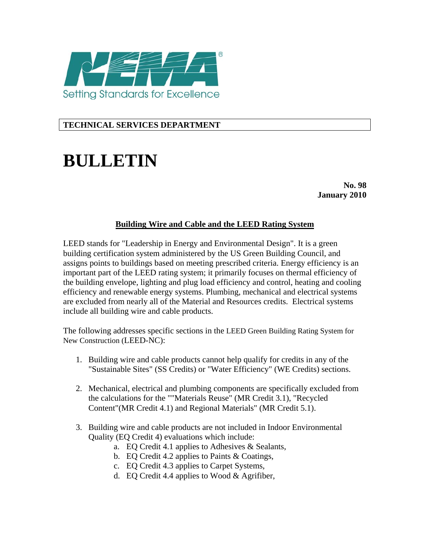

## **TECHNICAL SERVICES DEPARTMENT**

## **BULLETIN**

**No. 98 January 2010** 

## **Building Wire and Cable and the LEED Rating System**

LEED stands for "Leadership in Energy and Environmental Design". It is a green building certification system administered by the US Green Building Council, and assigns points to buildings based on meeting prescribed criteria. Energy efficiency is an important part of the LEED rating system; it primarily focuses on thermal efficiency of the building envelope, lighting and plug load efficiency and control, heating and cooling efficiency and renewable energy systems. Plumbing, mechanical and electrical systems are excluded from nearly all of the Material and Resources credits. Electrical systems include all building wire and cable products.

The following addresses specific sections in the LEED Green Building Rating System for New Construction (LEED-NC):

- 1. Building wire and cable products cannot help qualify for credits in any of the "Sustainable Sites" (SS Credits) or "Water Efficiency" (WE Credits) sections.
- 2. Mechanical, electrical and plumbing components are specifically excluded from the calculations for the ""Materials Reuse" (MR Credit 3.1), "Recycled Content"(MR Credit 4.1) and Regional Materials" (MR Credit 5.1).
- 3. Building wire and cable products are not included in Indoor Environmental Quality (EQ Credit 4) evaluations which include:
	- a. EQ Credit 4.1 applies to Adhesives & Sealants,
	- b. EQ Credit 4.2 applies to Paints & Coatings,
	- c. EQ Credit 4.3 applies to Carpet Systems,
	- d. EQ Credit 4.4 applies to Wood & Agrifiber,